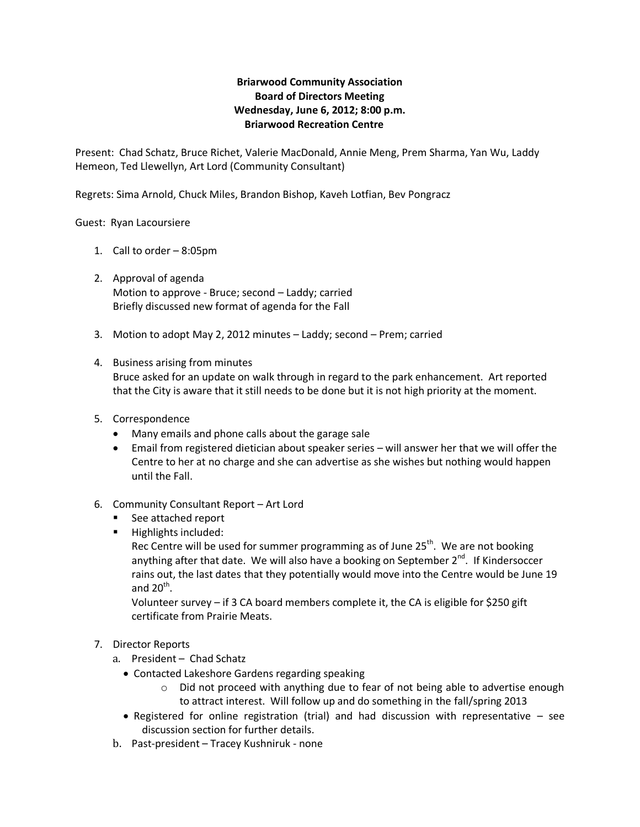## **Briarwood Community Association Board of Directors Meeting Wednesday, June 6, 2012; 8:00 p.m. Briarwood Recreation Centre**

Present: Chad Schatz, Bruce Richet, Valerie MacDonald, Annie Meng, Prem Sharma, Yan Wu, Laddy Hemeon, Ted Llewellyn, Art Lord (Community Consultant)

Regrets: Sima Arnold, Chuck Miles, Brandon Bishop, Kaveh Lotfian, Bev Pongracz

Guest: Ryan Lacoursiere

- 1. Call to order 8:05pm
- 2. Approval of agenda Motion to approve - Bruce; second – Laddy; carried Briefly discussed new format of agenda for the Fall
- 3. Motion to adopt May 2, 2012 minutes Laddy; second Prem; carried

## 4. Business arising from minutes Bruce asked for an update on walk through in regard to the park enhancement. Art reported that the City is aware that it still needs to be done but it is not high priority at the moment.

- 5. Correspondence
	- Many emails and phone calls about the garage sale
	- Email from registered dietician about speaker series will answer her that we will offer the Centre to her at no charge and she can advertise as she wishes but nothing would happen until the Fall.
- 6. Community Consultant Report Art Lord
	- See attached report
	- **Highlights included:**

Rec Centre will be used for summer programming as of June  $25<sup>th</sup>$ . We are not booking anything after that date. We will also have a booking on September  $2^{nd}$ . If Kindersoccer rains out, the last dates that they potentially would move into the Centre would be June 19 and 20 $th$ .

Volunteer survey – if 3 CA board members complete it, the CA is eligible for \$250 gift certificate from Prairie Meats.

- 7. Director Reports
	- a. President Chad Schatz
		- Contacted Lakeshore Gardens regarding speaking
			- $\circ$  Did not proceed with anything due to fear of not being able to advertise enough to attract interest. Will follow up and do something in the fall/spring 2013
		- Registered for online registration (trial) and had discussion with representative  $-$  see discussion section for further details.
	- b. Past-president Tracey Kushniruk none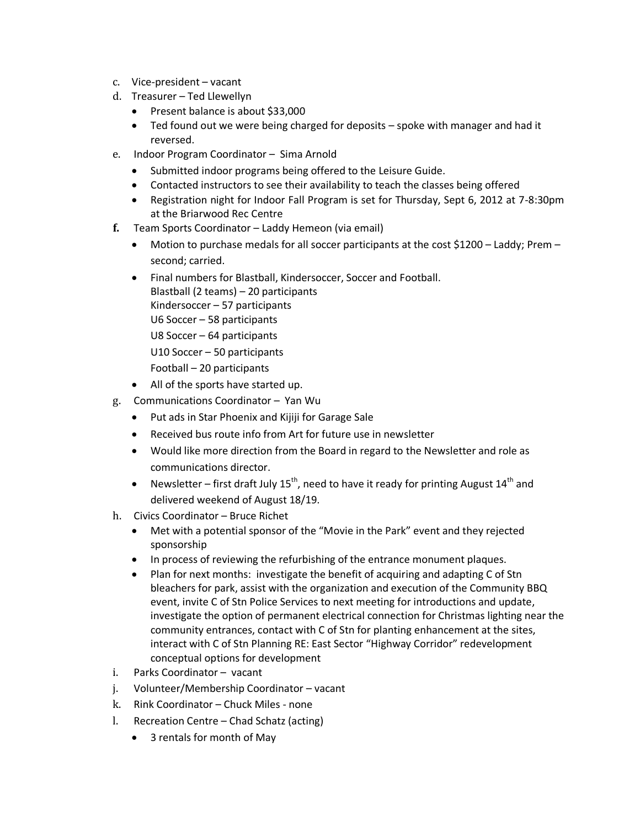- c. Vice-president vacant
- d. Treasurer Ted Llewellyn
	- Present balance is about \$33,000
	- Ted found out we were being charged for deposits spoke with manager and had it reversed.
- e. Indoor Program Coordinator Sima Arnold
	- Submitted indoor programs being offered to the Leisure Guide.
	- Contacted instructors to see their availability to teach the classes being offered
	- Registration night for Indoor Fall Program is set for Thursday, Sept 6, 2012 at 7-8:30pm at the Briarwood Rec Centre
- **f.** Team Sports Coordinator Laddy Hemeon (via email)
	- $\bullet$  Motion to purchase medals for all soccer participants at the cost \$1200 Laddy; Prem second; carried.
	- Final numbers for Blastball, Kindersoccer, Soccer and Football. Blastball (2 teams) – 20 participants
		- Kindersoccer 57 participants
		- U6 Soccer 58 participants
		- U8 Soccer 64 participants
		- U10 Soccer 50 participants
		- Football 20 participants
	- All of the sports have started up.
- g. Communications Coordinator Yan Wu
	- Put ads in Star Phoenix and Kijiji for Garage Sale
	- Received bus route info from Art for future use in newsletter
	- Would like more direction from the Board in regard to the Newsletter and role as communications director.
	- Newsletter first draft July  $15^{th}$ , need to have it ready for printing August  $14^{th}$  and delivered weekend of August 18/19.
- h. Civics Coordinator Bruce Richet
	- Met with a potential sponsor of the "Movie in the Park" event and they rejected sponsorship
	- In process of reviewing the refurbishing of the entrance monument plaques.
	- Plan for next months: investigate the benefit of acquiring and adapting C of Stn bleachers for park, assist with the organization and execution of the Community BBQ event, invite C of Stn Police Services to next meeting for introductions and update, investigate the option of permanent electrical connection for Christmas lighting near the community entrances, contact with C of Stn for planting enhancement at the sites, interact with C of Stn Planning RE: East Sector "Highway Corridor" redevelopment conceptual options for development
- i. Parks Coordinator vacant
- j. Volunteer/Membership Coordinator vacant
- k. Rink Coordinator Chuck Miles none
- l. Recreation Centre Chad Schatz (acting)
	- 3 rentals for month of May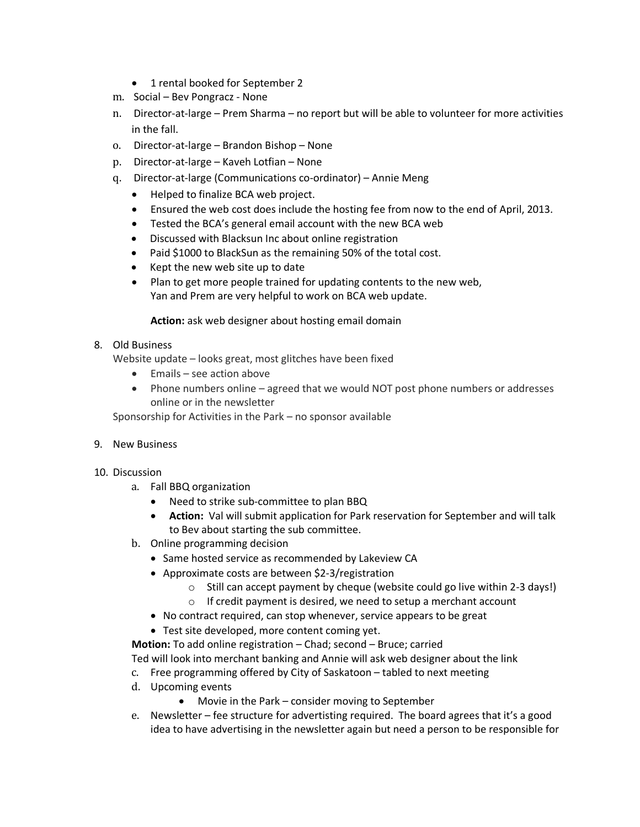- 1 rental booked for September 2
- m. Social Bev Pongracz None
- n. Director-at-large Prem Sharma no report but will be able to volunteer for more activities in the fall.
- o. Director-at-large Brandon Bishop None
- p. Director-at-large Kaveh Lotfian None
- q. Director-at-large (Communications co-ordinator) Annie Meng
	- Helped to finalize BCA web project.
	- Ensured the web cost does include the hosting fee from now to the end of April, 2013.
	- Tested the BCA's general email account with the new BCA web
	- Discussed with Blacksun Inc about online registration
	- Paid \$1000 to BlackSun as the remaining 50% of the total cost.
	- Kept the new web site up to date
	- Plan to get more people trained for updating contents to the new web, Yan and Prem are very helpful to work on BCA web update.

## **Action:** ask web designer about hosting email domain

8. Old Business

Website update – looks great, most glitches have been fixed

- Emails see action above
- Phone numbers online agreed that we would NOT post phone numbers or addresses online or in the newsletter

Sponsorship for Activities in the Park – no sponsor available

- 9. New Business
- 10. Discussion
	- a. Fall BBQ organization
		- Need to strike sub-committee to plan BBQ
		- **Action:** Val will submit application for Park reservation for September and will talk to Bev about starting the sub committee.
	- b. Online programming decision
		- Same hosted service as recommended by Lakeview CA
		- Approximate costs are between \$2-3/registration
			- $\circ$  Still can accept payment by cheque (website could go live within 2-3 days!)
			- o If credit payment is desired, we need to setup a merchant account
		- No contract required, can stop whenever, service appears to be great
		- Test site developed, more content coming yet.

**Motion:** To add online registration – Chad; second – Bruce; carried Ted will look into merchant banking and Annie will ask web designer about the link

- c. Free programming offered by City of Saskatoon tabled to next meeting
- d. Upcoming events
	- Movie in the Park consider moving to September
- e. Newsletter fee structure for advertisting required. The board agrees that it's a good idea to have advertising in the newsletter again but need a person to be responsible for